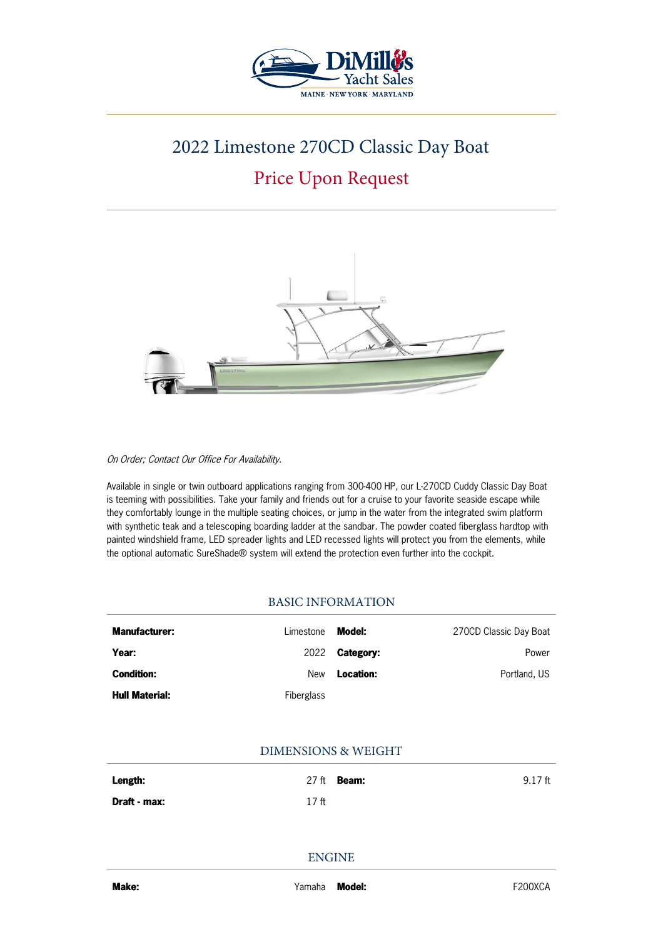

# 2022 Limestone 270CD Classic Day Boat

# Price Upon Request



On Order; Contact Our Office For Availability.

Available in single or twin outboard applications ranging from 300-400 HP, our L-270CD Cuddy Classic Day Boat is teeming with possibilities. Take your family and friends out for a cruise to your favorite seaside escape while they comfortably lounge in the multiple seating choices, or jump in the water from the integrated swim platform with synthetic teak and a telescoping boarding ladder at the sandbar. The powder coated fiberglass hardtop with painted windshield frame, LED spreader lights and LED recessed lights will protect you from the elements, while the optional automatic SureShade® system will extend the protection even further into the cockpit.

## BASIC INFORMATION

| <b>Manufacturer:</b>  | Limestone  | Model:    | 270CD Classic Day Boat |
|-----------------------|------------|-----------|------------------------|
| Year:                 | 2022       | Category: | Power                  |
| <b>Condition:</b>     | New        | Location: | Portland, US           |
| <b>Hull Material:</b> | Fiberglass |           |                        |

## DIMENSIONS & WEIGHT

| Length:      |       | $27$ ft <b>Beam:</b> | $9.17$ ft |
|--------------|-------|----------------------|-----------|
| Draft - max: | 17 ft |                      |           |

ENGINE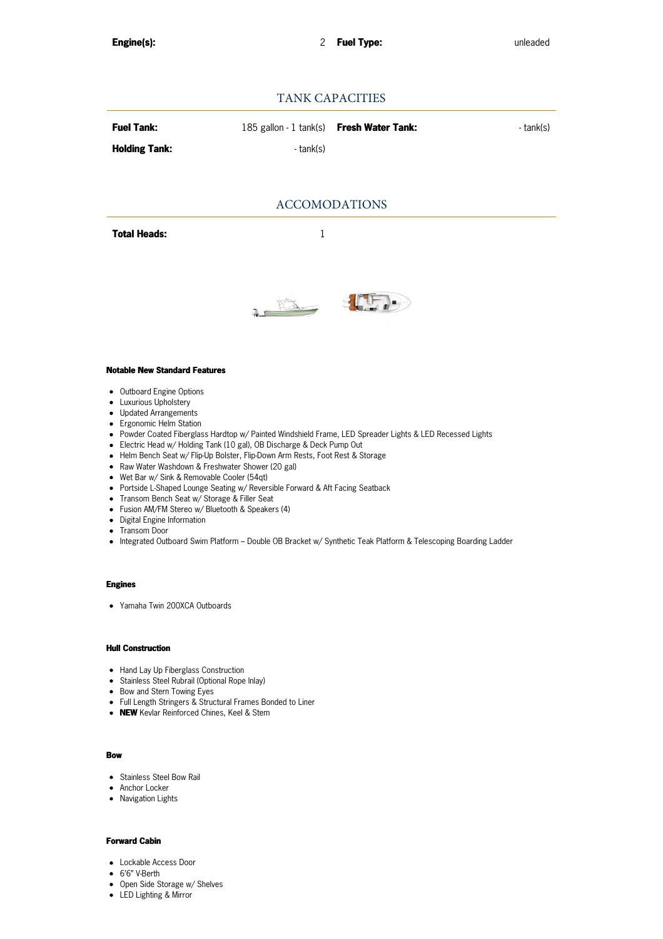## TANK CAPACITIES

| <b>Fuel Tank:</b>    | 185 gallon - 1 tank(s) <b>Fresh Water Tank:</b> | - tank(s) |
|----------------------|-------------------------------------------------|-----------|
| <b>Holding Tank:</b> | - tank(s)                                       |           |

### ACCOMODATIONS

**Total Heads:** 1



#### **Notable New Standard Features**

- Outboard Engine Options
- **•** Luxurious Upholstery
- Updated Arrangements
- Ergonomic Helm Station
- Powder Coated Fiberglass Hardtop w/ Painted Windshield Frame, LED Spreader Lights & LED Recessed Lights
- Electric Head w/ Holding Tank (10 gal), OB Discharge & Deck Pump Out
- Helm Bench Seat w/ Flip-Up Bolster, Flip-Down Arm Rests, Foot Rest & Storage
- Raw Water Washdown & Freshwater Shower (20 gal)
- Wet Bar w/ Sink & Removable Cooler (54qt)
- Portside L-Shaped Lounge Seating w/ Reversible Forward & Aft Facing Seatback
- Transom Bench Seat w/ Storage & Filler Seat
- Fusion AM/FM Stereo w/ Bluetooth & Speakers (4)
- Digital Engine Information
- Transom Door
- Integrated Outboard Swim Platform Double OB Bracket w/ Synthetic Teak Platform & Telescoping Boarding Ladder

### **Engines**

Yamaha Twin 200XCA Outboards

#### **Hull Construction**

- Hand Lay Up Fiberglass Construction
- Stainless Steel Rubrail (Optional Rope Inlay)
- Bow and Stern Towing Eyes
- Full Length Stringers & Structural Frames Bonded to Liner
- **NEW** Kevlar Reinforced Chines, Keel & Stem

#### **Bow**

- Stainless Steel Bow Rail
- Anchor Locker
- Navigation Lights

#### **Forward Cabin**

- Lockable Access Door
- 6'6" V-Berth
- Open Side Storage w/ Shelves
- LED Lighting & Mirror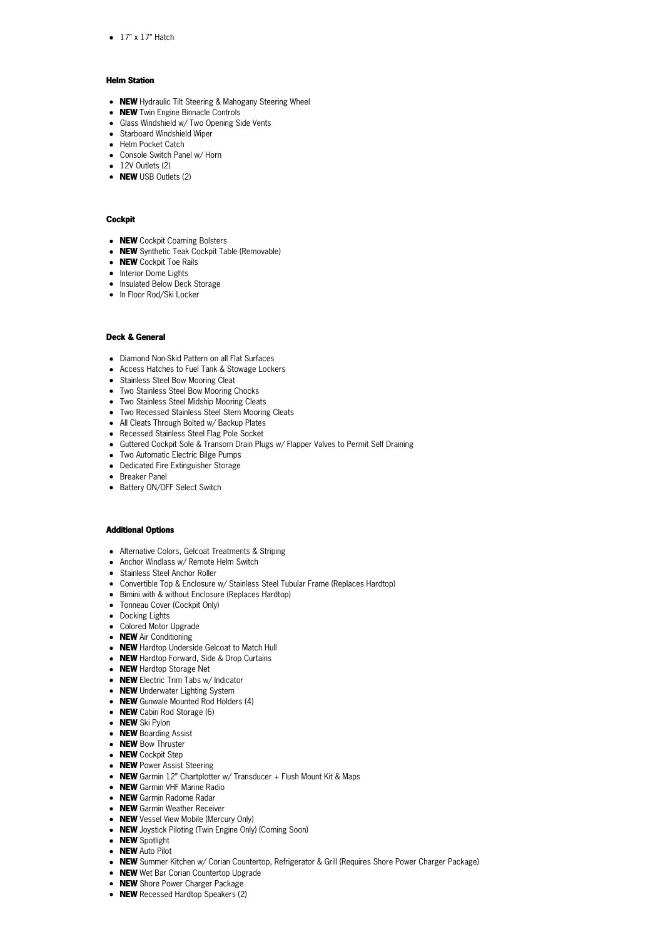$\bullet$  17" x 17" Hatch

#### **Helm Station**

- **NEW** Hydraulic Tilt Steering & Mahogany Steering Wheel
- **NEW** Twin Engine Binnacle Controls
- Glass Windshield w/ Two Opening Side Vents
- Starboard Windshield Wiper
- Helm Pocket Catch
- Console Switch Panel w/ Horn
- $\bullet$  12V Outlets (2)
- **NEW** USB Outlets (2)

#### **Cockpit**

- **NEW** Cockpit Coaming Bolsters
- **NEW** Synthetic Teak Cockpit Table (Removable)
- **NEW** Cockpit Toe Rails
- Interior Dome Lights
- Insulated Below Deck Storage
- In Floor Rod/Ski Locker

#### **Deck & General**

- Diamond Non-Skid Pattern on all Flat Surfaces
- Access Hatches to Fuel Tank & Stowage Lockers
- Stainless Steel Bow Mooring Cleat
- Two Stainless Steel Bow Mooring Chocks
- Two Stainless Steel Midship Mooring Cleats
- Two Recessed Stainless Steel Stern Mooring Cleats
- All Cleats Through Bolted w/ Backup Plates
- Recessed Stainless Steel Flag Pole Socket
- Guttered Cockpit Sole & Transom Drain Plugs w/ Flapper Valves to Permit Self Draining
- Two Automatic Electric Bilge Pumps
- Dedicated Fire Extinguisher Storage
- Breaker Panel
- Battery ON/OFF Select Switch

#### **Additional Options**

- Alternative Colors, Gelcoat Treatments & Striping
- Anchor Windlass w/ Remote Helm Switch
- Stainless Steel Anchor Roller
- Convertible Top & Enclosure w/ Stainless Steel Tubular Frame (Replaces Hardtop)
- Bimini with & without Enclosure (Replaces Hardtop)
- Tonneau Cover (Cockpit Only)
- Docking Lights
- Colored Motor Upgrade
- **NEW** Air Conditioning
- **NEW** Hardtop Underside Gelcoat to Match Hull
- **NEW** Hardtop Forward, Side & Drop Curtains
- **NEW** Hardtop Storage Net
- **NEW** Electric Trim Tabs w/ Indicator
- **NEW** Underwater Lighting System
- **NEW** Gunwale Mounted Rod Holders (4)
- **NEW** Cabin Rod Storage (6)
- **NEW** Ski Pylon
- **NEW** Boarding Assist
- **NEW** Bow Thruster
- **NEW** Cockpit Step
- **NEW** Power Assist Steering
- NEW Garmin 12" Chartplotter w/ Transducer + Flush Mount Kit & Maps
- **NEW** Garmin VHF Marine Radio
- **NEW** Garmin Radome Radar
- **NEW** Garmin Weather Receiver
- **NEW** Vessel View Mobile (Mercury Only)
- **NEW** Joystick Piloting (Twin Engine Only) (Coming Soon)
- **NEW** Spotlight
- **NEW** Auto Pilot
- **NEW** Summer Kitchen w/ Corian Countertop, Refrigerator & Grill (Requires Shore Power Charger Package)
- **NEW** Wet Bar Corian Countertop Upgrade
- **NEW** Shore Power Charger Package
- **NEW** Recessed Hardtop Speakers (2)